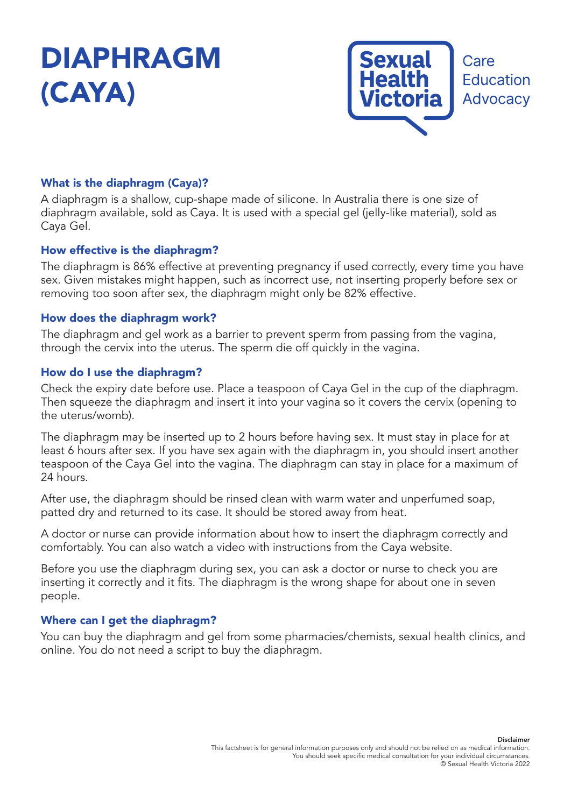# DIAPHRAGM (CAYA)



# What is the diaphragm (Caya)?

A diaphragm is a shallow, cup-shape made of silicone. In Australia there is one size of diaphragm available, sold as Caya. It is used with a special gel (jelly-like material), sold as Caya Gel.

## How effective is the diaphragm?

The diaphragm is 86% effective at preventing pregnancy if used correctly, every time you have sex. Given mistakes might happen, such as incorrect use, not inserting properly before sex or removing too soon after sex, the diaphragm might only be 82% effective.

#### How does the diaphragm work?

The diaphragm and gel work as a barrier to prevent sperm from passing from the vagina, through the cervix into the uterus. The sperm die off quickly in the vagina.

#### How do I use the diaphragm?

Check the expiry date before use. Place a teaspoon of Caya Gel in the cup of the diaphragm. Then squeeze the diaphragm and insert it into your vagina so it covers the cervix (opening to the uterus/womb).

The diaphragm may be inserted up to 2 hours before having sex. It must stay in place for at least 6 hours after sex. If you have sex again with the diaphragm in, you should insert another teaspoon of the Caya Gel into the vagina. The diaphragm can stay in place for a maximum of 24 hours.

After use, the diaphragm should be rinsed clean with warm water and unperfumed soap, patted dry and returned to its case. It should be stored away from heat.

A doctor or nurse can provide information about how to insert the diaphragm correctly and comfortably. You can also watch a video with instructions from the Caya website.

Before you use the diaphragm during sex, you can ask a doctor or nurse to check you are inserting it correctly and it fits. The diaphragm is the wrong shape for about one in seven people.

## Where can I get the diaphragm?

You can buy the diaphragm and gel from some pharmacies/chemists, sexual health clinics, and online. You do not need a script to buy the diaphragm.